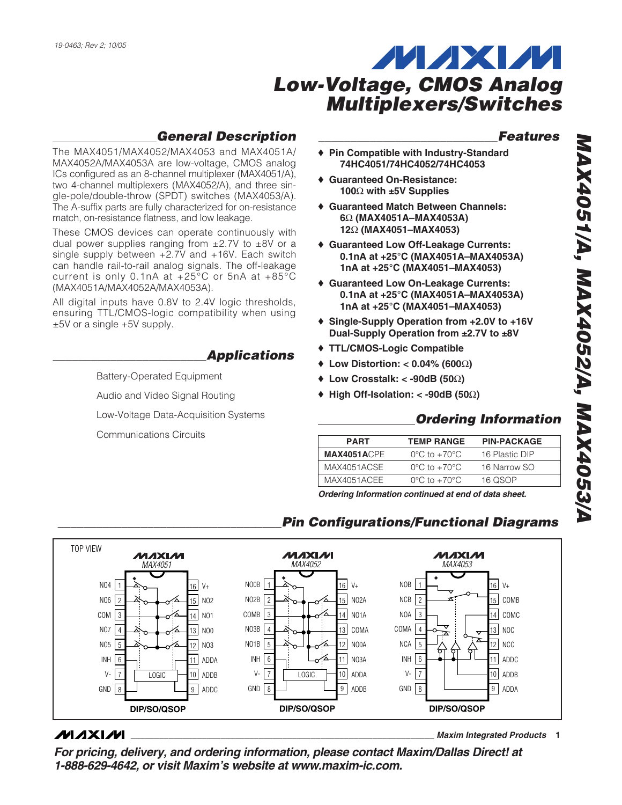

## *General Description*

The MAX4051/MAX4052/MAX4053 and MAX4051A/ MAX4052A/MAX4053A are low-voltage, CMOS analog ICs configured as an 8-channel multiplexer (MAX4051/A), two 4-channel multiplexers (MAX4052/A), and three single-pole/double-throw (SPDT) switches (MAX4053/A). The A-suffix parts are fully characterized for on-resistance match, on-resistance flatness, and low leakage.

These CMOS devices can operate continuously with dual power supplies ranging from  $\pm 2.7V$  to  $\pm 8V$  or a single supply between +2.7V and +16V. Each switch can handle rail-to-rail analog signals. The off-leakage current is only 0.1nA at +25°C or 5nA at +85°C (MAX4051A/MAX4052A/MAX4053A).

All digital inputs have 0.8V to 2.4V logic thresholds, ensuring TTL/CMOS-logic compatibility when using ±5V or a single +5V supply.

## *\_\_\_\_\_\_\_\_\_\_\_\_\_\_\_\_\_\_\_\_\_\_\_\_Applications*

Battery-Operated Equipment

Audio and Video Signal Routing

Low-Voltage Data-Acquisition Systems

Communications Circuits

#### *\_\_\_\_\_\_\_\_\_\_\_\_\_\_\_\_\_\_\_\_\_\_\_\_\_\_\_\_Features*

- ♦ **Pin Compatible with Industry-Standard 74HC4051/74HC4052/74HC4053**
- ♦ **Guaranteed On-Resistance: 100**Ω **with ±5V Supplies**
- ♦ **Guaranteed Match Between Channels: 6**Ω **(MAX4051A–MAX4053A) 12**Ω **(MAX4051–MAX4053)**
- ♦ **Guaranteed Low Off-Leakage Currents: 0.1nA at +25°C (MAX4051A–MAX4053A) 1nA at +25°C (MAX4051–MAX4053)**
- ♦ **Guaranteed Low On-Leakage Currents: 0.1nA at +25°C (MAX4051A–MAX4053A) 1nA at +25°C (MAX4051–MAX4053)**
- ♦ **Single-Supply Operation from +2.0V to +16V Dual-Supply Operation from ±2.7V to ±8V**
- ♦ **TTL/CMOS-Logic Compatible**
- ♦ **Low Distortion: < 0.04% (600**Ω**)**
- ♦ **Low Crosstalk: < -90dB (50**Ω**)**
- ♦ **High Off-Isolation: < -90dB (50**Ω**)**

#### *Ordering Information*

| <b>PART</b>        | <b>TEMP RANGE</b>                | <b>PIN-PACKAGE</b> |
|--------------------|----------------------------------|--------------------|
| <b>MAX4051ACPE</b> | $0^{\circ}$ C to $+70^{\circ}$ C | 16 Plastic DIP     |
| MAX4051ACSE        | $0^{\circ}$ C to $+70^{\circ}$ C | 16 Narrow SO       |
| MAX4051ACEE        | $0^{\circ}$ C to $+70^{\circ}$ C | 16 OSOP            |
|                    |                                  |                    |

*Ordering Information continued at end of data sheet.*

**Pin Configurations/Functional Diagrams** 



#### **MAXIM**

**\_\_\_\_\_\_\_\_\_\_\_\_\_\_\_\_\_\_\_\_\_\_\_\_\_\_\_\_\_\_\_\_\_\_\_\_\_\_\_\_\_\_\_\_\_\_\_\_\_\_\_\_\_\_\_\_\_\_\_\_\_\_\_\_** *Maxim Integrated Products* **1**

*For pricing, delivery, and ordering information, please contact Maxim/Dallas Direct! at 1-888-629-4642, or visit Maxim's website at www.maxim-ic.com.*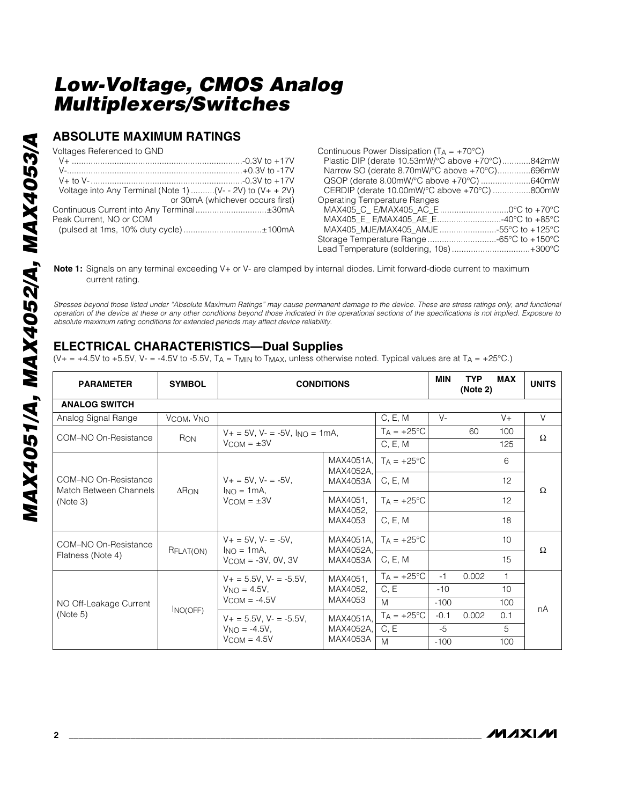#### **ABSOLUTE MAXIMUM RATINGS**

Voltages Referenced to GND

|                                       | Voltage into Any Terminal (Note 1) (V- - 2V) to $(V + + 2V)$ |
|---------------------------------------|--------------------------------------------------------------|
|                                       | or 30mA (whichever occurs first)                             |
|                                       |                                                              |
| Peak Current. NO or COM               |                                                              |
| (pulsed at 1ms, 10% duty cycle)±100mA |                                                              |

| Continuous Power Dissipation ( $T_A = +70^{\circ}C$ ) |  |
|-------------------------------------------------------|--|
| Plastic DIP (derate 10.53mW/°C above +70°C)842mW      |  |
| Narrow SO (derate 8.70mW/°C above +70°C)696mW         |  |
| QSOP (derate 8.00mW/°C above +70°C) 640mW             |  |
| CERDIP (derate 10.00mW/°C above +70°C) 800mW          |  |
| <b>Operating Temperature Ranges</b>                   |  |
|                                                       |  |
|                                                       |  |
|                                                       |  |
|                                                       |  |
| Lead Temperature (soldering, 10s) +300°C              |  |

**Note 1:** Signals on any terminal exceeding V+ or V- are clamped by internal diodes. Limit forward-diode current to maximum current rating.

*Stresses beyond those listed under "Absolute Maximum Ratings" may cause permanent damage to the device. These are stress ratings only, and functional operation of the device at these or any other conditions beyond those indicated in the operational sections of the specifications is not implied. Exposure to absolute maximum rating conditions for extended periods may affect device reliability.*

## **ELECTRICAL CHARACTERISTICS—Dual Supplies**

(V+ = +4.5V to +5.5V, V- = -4.5V to -5.5V, TA = TMIN to TMAX, unless otherwise noted. Typical values are at TA = +25°C.)

| <b>PARAMETER</b>                                           | <b>SYMBOL</b>                      | <b>CONDITIONS</b>                                               |                                    |                      |        | <b>TYP</b><br>(Note 2) | <b>MAX</b>   | <b>UNITS</b> |
|------------------------------------------------------------|------------------------------------|-----------------------------------------------------------------|------------------------------------|----------------------|--------|------------------------|--------------|--------------|
| <b>ANALOG SWITCH</b>                                       |                                    |                                                                 |                                    |                      |        |                        |              |              |
| Analog Signal Range                                        | V <sub>COM</sub> , V <sub>NO</sub> |                                                                 |                                    | C, E, M              | $V -$  |                        | $V +$        | V            |
| COM-NO On-Resistance                                       | RON                                | $V_+ = 5V$ , $V_- = -5V$ , $I_{NO} = 1mA$ ,                     |                                    | $TA = +25^{\circ}C$  |        | 60                     | 100          | $\Omega$     |
|                                                            |                                    | $V_{COM} = \pm 3V$                                              | C, E, M                            |                      |        |                        | 125          |              |
|                                                            |                                    |                                                                 | MAX4051A.<br>MAX4052A.             | $T_A = +25$ °C       |        |                        | 6            |              |
| COM-NO On-Resistance<br>Match Between Channels<br>(Note 3) | $\Delta$ R <sub>ON</sub>           | $V_+ = 5V$ , $V_- = -5V$ ,<br>$Ino = 1mA$<br>$V_{COM} = \pm 3V$ | MAX4053A                           | C, E, M              |        |                        | 12           | Ω            |
|                                                            |                                    |                                                                 | MAX4051,<br>MAX4052,<br>MAX4053    | $T_A = +25$ °C       |        |                        | 12           |              |
|                                                            |                                    |                                                                 |                                    | C, E, M              |        |                        | 18           |              |
| COM-NO On-Resistance                                       | RFLAT(ON)                          | $V_+ = 5V$ , $V_- = -5V$ ,<br>$Ino = 1mA$ .                     | MAX4051A.<br>MAX4052A.<br>MAX4053A | $TA = +25^{\circ}C$  |        |                        | 10           | $\Omega$     |
| Flatness (Note 4)                                          |                                    | $V$ COM = $-3V$ , OV, 3V                                        |                                    | C, E, M              |        |                        | 15           |              |
|                                                            |                                    | $V_+ = 5.5V$ , $V_- = -5.5V$ ,                                  | MAX4051.                           | $TA = +25^{\circ}C$  | $-1$   | 0.002                  | $\mathbf{1}$ |              |
|                                                            |                                    | $VNO = 4.5V$ .                                                  | MAX4052,                           | C, E                 | $-10$  |                        | 10           |              |
| NO Off-Leakage Current<br>(Note 5)                         | INO(OFF)                           | $V_{\text{COM}} = -4.5V$                                        | MAX4053                            | M                    | $-100$ |                        | 100          | nA           |
|                                                            |                                    | $V_+ = 5.5V$ . $V_- = -5.5V$ .                                  | MAX4051A.<br>MAX4052A,<br>MAX4053A | $T_A = +25^{\circ}C$ | $-0.1$ | 0.002                  | 0.1          |              |
|                                                            |                                    | $VNO = -4.5V,$<br>$V_{COM} = 4.5V$                              |                                    | C, E                 | $-5$   |                        | 5            |              |
|                                                            |                                    |                                                                 |                                    | M                    | $-100$ |                        | 100          |              |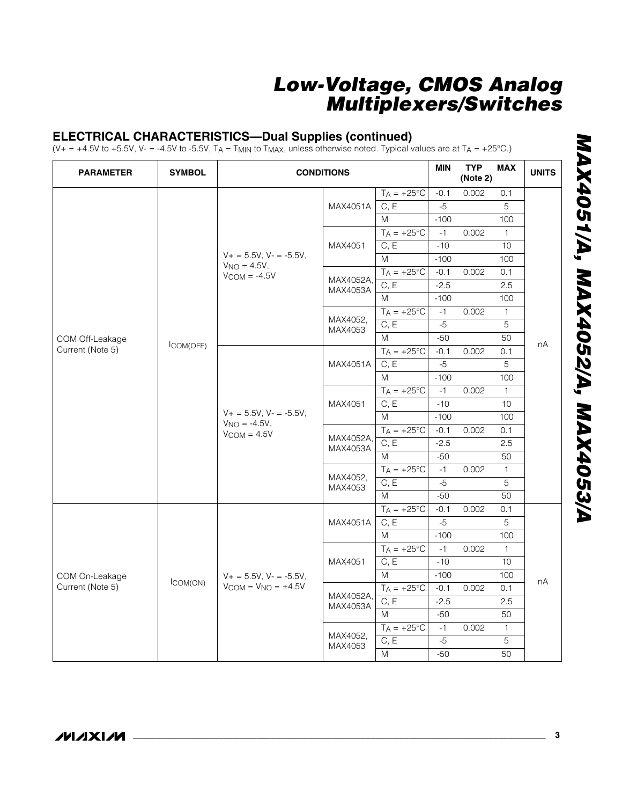#### **ELECTRICAL CHARACTERISTICS—Dual Supplies (continued)**

 $(V_+ = +4.5V$  to +5.5V, V- = -4.5V to -5.5V, TA = TMIN to TMAX, unless otherwise noted. Typical values are at TA = +25°C.)

| <b>PARAMETER</b>                    | <b>SYMBOL</b> |                                                                      | <b>CONDITIONS</b>     |                          |        | <b>TYP</b><br>(Note 2) | <b>MAX</b>      | <b>UNITS</b> |
|-------------------------------------|---------------|----------------------------------------------------------------------|-----------------------|--------------------------|--------|------------------------|-----------------|--------------|
|                                     |               |                                                                      |                       | $TA = +25^{\circ}C$      | $-0.1$ | 0.002                  | 0.1             |              |
|                                     |               |                                                                      | MAX4051A              | C, E                     | $-5$   |                        | 5               |              |
|                                     |               |                                                                      |                       | M                        | $-100$ |                        | 100             |              |
|                                     |               |                                                                      |                       | $T_A = +25\overline{C}$  | $-1$   | 0.002                  | $\mathbf{1}$    |              |
|                                     |               |                                                                      | MAX4051               | C, E                     | $-10$  |                        | 10              |              |
|                                     |               | $V_+ = 5.5V$ , $V_- = -5.5V$ ,                                       |                       | M                        | $-100$ |                        | 100             |              |
|                                     |               | $V_{NO} = 4.5V,$<br>$V$ COM = -4.5 $V$                               |                       | $T_A = +25^{\circ}C$     | $-0.1$ | 0.002                  | 0.1             |              |
|                                     |               |                                                                      | MAX4052A,<br>MAX4053A | C, E                     | $-2.5$ |                        | 2.5             |              |
| COM Off-Leakage<br>Current (Note 5) |               |                                                                      |                       | M                        | $-100$ |                        | 100             |              |
|                                     |               |                                                                      |                       | $TA = +25^{\circ}C$      | $-1$   | 0.002                  | $\mathbf{1}$    |              |
|                                     |               |                                                                      | MAX4052,<br>MAX4053   | C, E                     | $-5$   |                        | 5               |              |
|                                     |               |                                                                      |                       | M                        | $-50$  |                        | 50              |              |
|                                     | ICOM(OFF)     |                                                                      |                       | $T_A = +25$ °C           | $-0.1$ | 0.002                  | 0.1             | nA           |
|                                     |               |                                                                      | MAX4051A              | C, E                     | $-5$   |                        | 5               |              |
|                                     |               |                                                                      |                       | M                        | $-100$ |                        | 100             |              |
|                                     |               |                                                                      |                       | $T_A = +25$ °C           | $-1$   | 0.002                  | $\mathbf{1}$    |              |
|                                     |               |                                                                      | MAX4051               | C, E                     | $-10$  |                        | 10 <sup>1</sup> |              |
|                                     |               | $V+ = 5.5V$ , $V = -5.5V$ ,<br>$V_{NO} = -4.5V,$<br>$V_{COM} = 4.5V$ |                       | M                        | $-100$ |                        | 100             |              |
|                                     |               |                                                                      | MAX4052A,<br>MAX4053A | $TA = +25^{\circ}C$      | $-0.1$ | 0.002                  | 0.1             |              |
|                                     |               |                                                                      |                       | C, E                     | $-2.5$ |                        | 2.5             |              |
|                                     |               |                                                                      |                       | M                        | $-50$  |                        | 50              |              |
|                                     |               |                                                                      | MAX4052,<br>MAX4053   | $T_A = +25$ °C           | $-1$   | 0.002                  | $\overline{1}$  |              |
|                                     |               |                                                                      |                       | C, E                     | $-5$   |                        | 5               |              |
|                                     |               |                                                                      |                       | M                        | $-50$  |                        | 50              |              |
|                                     |               |                                                                      |                       | $T_A = +25^{\circ}C$     | $-0.1$ | 0.002                  | 0.1             |              |
|                                     |               |                                                                      | MAX4051A              | C, E                     | $-5$   |                        | $\overline{5}$  |              |
|                                     |               |                                                                      |                       | M                        | $-100$ |                        | 100             |              |
|                                     |               |                                                                      |                       | $TA = +25^{\circ}C$      | $-1$   | 0.002                  | $\mathbf{1}$    |              |
|                                     |               |                                                                      | MAX4051               | C, E                     | $-10$  |                        | 10              |              |
| COM On-Leakage                      |               | $V+ = 5.5V$ , $V = -5.5V$ ,                                          |                       | M                        | $-100$ |                        | 100             |              |
| Current (Note 5)                    | ICOM(ON)      | $V_{COM} = V_{NO} = \pm 4.5V$                                        |                       | $T_A = +25$ °C           | $-0.1$ | 0.002                  | 0.1             | nA           |
|                                     |               |                                                                      | MAX4052A,<br>MAX4053A | C, E                     | $-2.5$ |                        | 2.5             |              |
|                                     |               |                                                                      |                       | M                        | $-50$  |                        | 50              |              |
|                                     |               |                                                                      |                       | $T_A = +25\overline{°C}$ | $-1$   | 0.002                  | $\mathbf{1}$    |              |
|                                     |               |                                                                      | MAX4052,<br>MAX4053   | C, E                     | $-5$   |                        | $\overline{5}$  |              |
|                                     |               |                                                                      |                       | ${\sf M}$                | $-50$  |                        | 50              |              |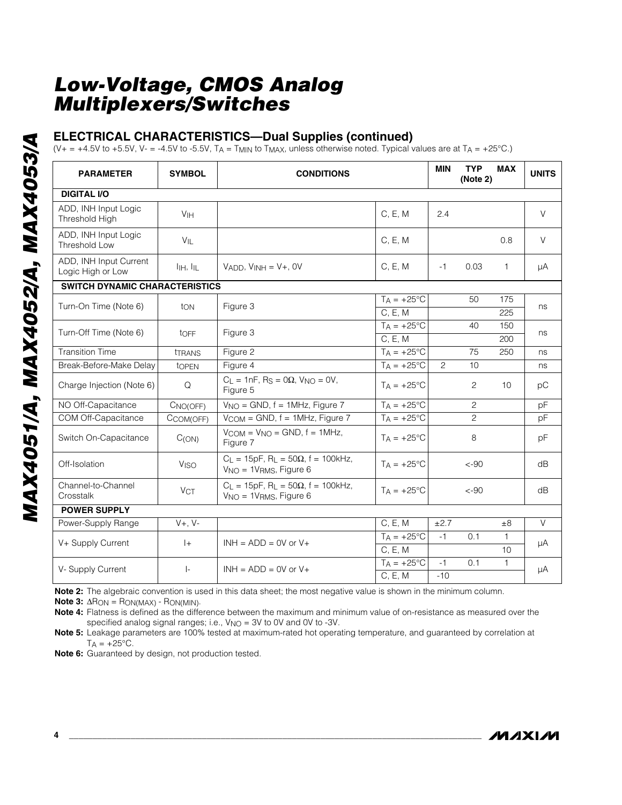#### **ELECTRICAL CHARACTERISTICS—Dual Supplies (continued)**

(V+ = +4.5V to +5.5V, V- = -4.5V to -5.5V, TA = TMIN to TMAX, unless otherwise noted. Typical values are at TA = +25°C.)

| <b>PARAMETER</b>                            | <b>SYMBOL</b>         | <b>CONDITIONS</b>                                                                           |                          | <b>MIN</b> | <b>TYP</b><br>(Note 2) | <b>MAX</b>   | <b>UNITS</b> |  |
|---------------------------------------------|-----------------------|---------------------------------------------------------------------------------------------|--------------------------|------------|------------------------|--------------|--------------|--|
| <b>DIGITAL I/O</b>                          |                       |                                                                                             |                          |            |                        |              |              |  |
| ADD, INH Input Logic<br>Threshold High      | V <sub>IH</sub>       |                                                                                             | C, E, M                  | 2.4        |                        |              | $\vee$       |  |
| ADD, INH Input Logic<br>Threshold Low       | $V_{IL}$              |                                                                                             | C, E, M                  |            |                        | 0.8          | $\vee$       |  |
| ADD, INH Input Current<br>Logic High or Low | $I_{HH}$ , $I_{IL}$   | $V_{ADD}$ , $V_{INH} = V_{+}$ , OV                                                          | C, E, M                  | -1         | 0.03                   | $\mathbf{1}$ | μA           |  |
| <b>SWITCH DYNAMIC CHARACTERISTICS</b>       |                       |                                                                                             |                          |            |                        |              |              |  |
| Turn-On Time (Note 6)                       | ton                   | Figure 3                                                                                    | $TA = +25^{\circ}C$      |            | 50                     | 175          | ns           |  |
|                                             |                       |                                                                                             | C, E, M                  |            |                        | 225          |              |  |
| Turn-Off Time (Note 6)                      | toff                  | Figure 3                                                                                    | $T_A = +25^{\circ}C$     |            | 40                     | 150          | ns           |  |
|                                             |                       |                                                                                             | C, E, M                  |            |                        | 200          |              |  |
| <b>Transition Time</b>                      | <b>TRANS</b>          | Figure 2                                                                                    | $T_A = +25^{\circ}C$     |            | 75                     | 250          | ns           |  |
| Break-Before-Make Delay                     | topen                 | Figure 4                                                                                    | $TA = +25^{\circ}C$      | 2          | 10                     |              | ns           |  |
| Charge Injection (Note 6)                   | Q                     | $C_L = 1nF$ , R <sub>S</sub> = 0 $\Omega$ , V <sub>NO</sub> = 0V,<br>Figure 5               | $T_A = +25^{\circ}C$     |            | 2                      | 10           | pC           |  |
| NO Off-Capacitance                          | CNO(OFF)              | $V_{\text{NO}}$ = GND, f = 1MHz, Figure 7                                                   | $T_A = +25\overline{°C}$ |            | 2                      |              | pF           |  |
| COM Off-Capacitance                         | CCOM(OFF)             | $V_{COM} = GND$ , $f = 1MHz$ , Figure 7                                                     | $TA = +25^{\circ}C$      |            | $\overline{c}$         |              | pF           |  |
| Switch On-Capacitance                       | C(ON)                 | $V_{COM} = V_{NO} = GND$ , $f = 1MHz$ ,<br>Figure 7                                         | $TA = +25^{\circ}C$      |            | 8                      |              | pF           |  |
| Off-Isolation                               | <b>VISO</b>           | $C_L = 15pF$ , R <sub>L</sub> = 50 $\Omega$ , f = 100kHz,<br>$V_{NO} = 1V_{RMS}$ , Figure 6 | $TA = +25^{\circ}C$      |            | $< -90$                |              | dB           |  |
| Channel-to-Channel<br>Crosstalk             | <b>V<sub>CT</sub></b> | $C_L = 15pF$ , R <sub>L</sub> = 50 $\Omega$ , f = 100kHz,<br>$V_{NO} = 1V_{RMS}$ , Figure 6 | $T_A = +25^{\circ}C$     |            | $< -90$                |              | dB           |  |
| <b>POWER SUPPLY</b>                         |                       |                                                                                             |                          |            |                        |              |              |  |
| Power-Supply Range                          | $V+, V-$              |                                                                                             | C, E, M                  | ±2.7       |                        | ±8           | $\vee$       |  |
| V+ Supply Current                           | $ +$                  | $INH = ADD = OV$ or $V +$                                                                   | $TA = +25^{\circ}C$      | $-1$       | 0.1                    | $\mathbf{1}$ |              |  |
|                                             |                       |                                                                                             | C, E, M                  |            |                        | 10           | μA           |  |
|                                             | $\vert$ -             | $INH = ADD = OV$ or $V +$                                                                   | $T_A = +25^{\circ}C$     | $-1$       | 0.1                    | $\mathbf{1}$ | μA           |  |
| V-Supply Current                            |                       |                                                                                             | C, E, M                  | $-10$      |                        |              |              |  |

**Note 2:** The algebraic convention is used in this data sheet; the most negative value is shown in the minimum column.

**Note 3:** ∆RON = RON(MAX) - RON(MIN).

**Note 4:** Flatness is defined as the difference between the maximum and minimum value of on-resistance as measured over the specified analog signal ranges; i.e.,  $V_{NO} = 3V$  to 0V and 0V to -3V.

**Note 5:** Leakage parameters are 100% tested at maximum-rated hot operating temperature, and guaranteed by correlation at  $T_A = +25$ °C.

**Note 6:** Guaranteed by design, not production tested.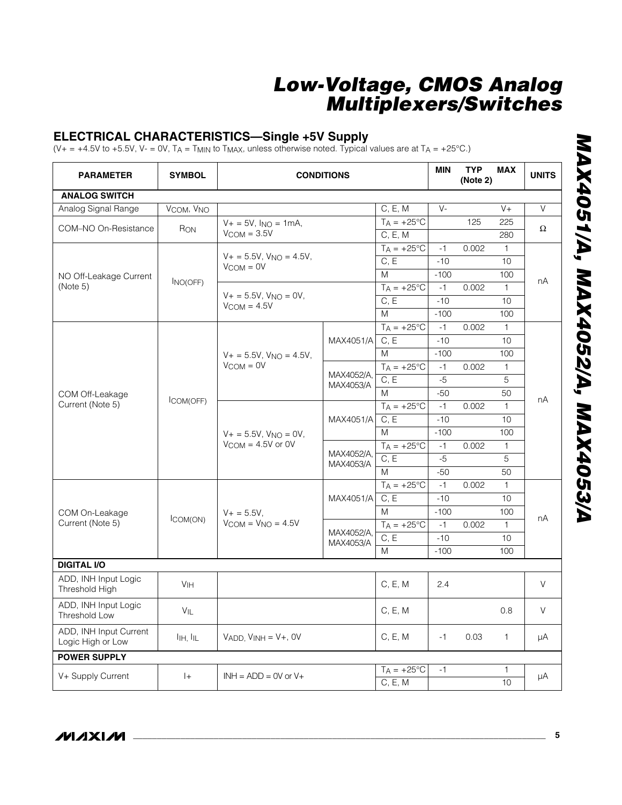#### **ELECTRICAL CHARACTERISTICS—Single +5V Supply**

 $(V_+ = +4.5V$  to +5.5V, V- = 0V, TA = TMIN to TMAX, unless otherwise noted. Typical values are at TA = +25°C.)

| <b>PARAMETER</b>                            | <b>SYMBOL</b>   | <b>CONDITIONS</b>                                        |                         |                      | <b>MIN</b> | <b>TYP</b><br>(Note 2) | <b>MAX</b>      | <b>UNITS</b> |
|---------------------------------------------|-----------------|----------------------------------------------------------|-------------------------|----------------------|------------|------------------------|-----------------|--------------|
| <b>ANALOG SWITCH</b>                        |                 |                                                          |                         |                      |            |                        |                 |              |
| Analog Signal Range                         | VCOM, VNO       |                                                          |                         | C, E, M              | $V -$      |                        | $V +$           | $\vee$       |
| COM-NO On-Resistance                        | RON             | $V + = 5V$ , $I_{NO} = 1mA$ ,                            |                         | $T_A = +25^{\circ}C$ |            | 125                    | 225             | Ω            |
|                                             |                 | $V_{COM} = 3.5V$                                         |                         | C, E, M              |            |                        | 280             |              |
|                                             |                 |                                                          |                         | $T_A = +25$ °C       | $-1$       | 0.002                  | $\mathbf{1}$    |              |
|                                             |                 | $V_+ = 5.5V$ , $V_{NO} = 4.5V$ ,<br>$V_{COM} = 0V$       |                         | C, E                 | $-10$      |                        | 10              |              |
| NO Off-Leakage Current                      | INO(OFF)        |                                                          |                         | M                    | $-100$     |                        | 100             | nA           |
| (Note 5)                                    |                 | $V_+ = 5.5V$ , $V_{NO} = 0V$ ,                           |                         | $T_A = +25$ °C       | $-1$       | 0.002                  | $\mathbf{1}$    |              |
|                                             |                 | $V_{COM} = 4.5V$                                         |                         | C, E                 | $-10$      |                        | 10              |              |
|                                             |                 |                                                          |                         | M                    | $-100$     |                        | 100             |              |
|                                             |                 |                                                          |                         | $TA = +25^{\circ}C$  | $-1$       | 0.002                  | $\mathbf{1}$    |              |
|                                             |                 | $V_+ = 5.5V$ , $V_{NO} = 4.5V$ ,<br>$V_{COM} = 0V$       | MAX4051/A               | $C, \overline{E}$    | $-10$      |                        | 10              |              |
|                                             |                 |                                                          |                         | M                    | $-100$     |                        | 100             |              |
|                                             |                 |                                                          |                         | $T_A = +25$ °C       | $-1$       | 0.002                  | $\mathbf{1}$    | nA           |
|                                             |                 |                                                          | MAX4052/A.<br>MAX4053/A | C, E                 | $-5$       |                        | 5               |              |
| COM Off-Leakage                             |                 |                                                          |                         | M                    | $-50$      |                        | 50              |              |
| Current (Note 5)                            | ICOM(OFF)       |                                                          |                         | $T_A = +25$ °C       | $-1$       | 0.002                  | $\mathbf{1}$    |              |
|                                             |                 |                                                          | MAX4051/A               | C, E                 | $-10$      |                        | 10 <sup>1</sup> |              |
|                                             |                 | $V_+ = 5.5V$ , $V_{NO} = 0V$ ,<br>$V_{COM} = 4.5V$ or 0V |                         | M                    | $-100$     |                        | 100             |              |
|                                             |                 |                                                          |                         | $TA = +25^{\circ}C$  | $-1$       | 0.002                  | $\mathbf{1}$    |              |
|                                             |                 |                                                          | MAX4052/A,<br>MAX4053/A | C, E                 | $-5$       |                        | 5               |              |
|                                             |                 |                                                          |                         | M                    | $-50$      |                        | 50              |              |
|                                             |                 |                                                          |                         | $T_A = +25^{\circ}C$ | $-1$       | 0.002                  | $\mathbf{1}$    |              |
|                                             |                 |                                                          | MAX4051/A               | C, E                 | $-10$      |                        | 10              |              |
| COM On-Leakage                              |                 | $V + = 5.5V$ ,                                           |                         | M                    | $-100$     |                        | 100             | nA           |
| Current (Note 5)                            | ICOM(ON)        | $V_{COM} = V_{NO} = 4.5V$                                | MAX4052/A.              | $T_A = +25$ °C       | $-1$       | 0.002                  | $\mathbf{1}$    |              |
|                                             |                 |                                                          | MAX4053/A               | C, E                 | $-10$      |                        | 10              |              |
|                                             |                 |                                                          |                         | M                    | $-100$     |                        | 100             |              |
| <b>DIGITAL I/O</b>                          |                 |                                                          |                         |                      |            |                        |                 |              |
| ADD, INH Input Logic<br>Threshold High      | V <sub>IH</sub> |                                                          |                         | C, E, M              | 2.4        |                        |                 | V            |
| ADD, INH Input Logic<br>Threshold Low       | VIL             |                                                          |                         | C, E, M              |            |                        | 0.8             | V            |
| ADD, INH Input Current<br>Logic High or Low | IIH, IIL        | $VADD, VINH = V+, OV$                                    |                         | C, E, M              | $-1$       | 0.03                   | $\mathbf{1}$    | μA           |
| <b>POWER SUPPLY</b>                         |                 |                                                          |                         |                      |            |                        |                 |              |
|                                             |                 |                                                          |                         | $T_A = +25$ °C       | $-1$       |                        | 1               |              |
| V+ Supply Current                           | $ +$            | $INH = ADD = OV$ or $V +$                                |                         | C, E, M              |            |                        | 10              | μA           |

**MAXIM**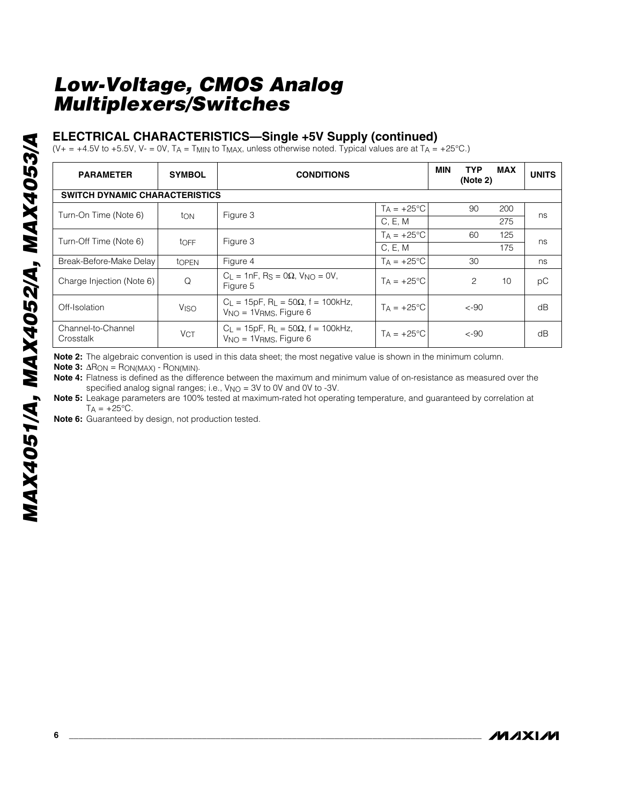#### **ELECTRICAL CHARACTERISTICS—Single +5V Supply (continued)**

(V+ = +4.5V to +5.5V, V- = 0V, TA = TMIN to TMAX, unless otherwise noted. Typical values are at TA = +25°C.)

| <b>PARAMETER</b>                      | <b>SYMBOL</b>    | <b>CONDITIONS</b>                                                                             |                     |  | <b>TYP</b><br>(Note 2) | <b>MAX</b> | <b>UNITS</b> |  |  |  |
|---------------------------------------|------------------|-----------------------------------------------------------------------------------------------|---------------------|--|------------------------|------------|--------------|--|--|--|
| <b>SWITCH DYNAMIC CHARACTERISTICS</b> |                  |                                                                                               |                     |  |                        |            |              |  |  |  |
| Turn-On Time (Note 6)                 | ton              | Figure 3                                                                                      | $T_A = +25$ °C      |  | 90                     | 200        | ns           |  |  |  |
|                                       |                  |                                                                                               | C, E, M             |  |                        | 275        |              |  |  |  |
| Turn-Off Time (Note 6)                | toff             | Figure 3                                                                                      | $Ta = +25^{\circ}C$ |  | 60                     | 125        | ns           |  |  |  |
|                                       |                  |                                                                                               | C, E, M             |  |                        | 175        |              |  |  |  |
| Break-Before-Make Delay               | topen            | Figure 4                                                                                      | $Ta = +25^{\circ}C$ |  | 30                     |            | ns           |  |  |  |
| Charge Injection (Note 6)             | Q                | $C_1 = 1nF$ . Rs = 0 $\Omega$ . V <sub>NO</sub> = 0V.<br>Figure 5                             | $Ta = +25^{\circ}C$ |  | 2                      | 10         | рC           |  |  |  |
| Off-Isolation                         | V <sub>ISO</sub> | $C_L = 15pF$ , R <sub>L</sub> = 50 $\Omega$ , f = 100kHz,<br>$V_{NO} = 1V_{RMS}$ , Figure 6   | $Ta = +25^{\circ}C$ |  | $< -90$                |            | dB           |  |  |  |
| Channel-to-Channel<br>Crosstalk       | <b>VCT</b>       | $C_{L} = 15pF$ , R <sub>L</sub> = 50 $\Omega$ , f = 100kHz,<br>$V_{NO} = 1V_{RMS}$ , Figure 6 | $Ta = +25^{\circ}C$ |  | $< -90$                |            | dB           |  |  |  |

**Note 2:** The algebraic convention is used in this data sheet; the most negative value is shown in the minimum column.

**Note 3:**  $\Delta$ R<sub>ON</sub> = R<sub>ON(MAX)</sub> - R<sub>ON(MIN)</sub>.

**Note 4:** Flatness is defined as the difference between the maximum and minimum value of on-resistance as measured over the specified analog signal ranges; i.e., V<sub>NO</sub> = 3V to 0V and 0V to -3V.

**Note 5:** Leakage parameters are 100% tested at maximum-rated hot operating temperature, and guaranteed by correlation at  $T_A = +25$ °C.

**Note 6:** Guaranteed by design, not production tested.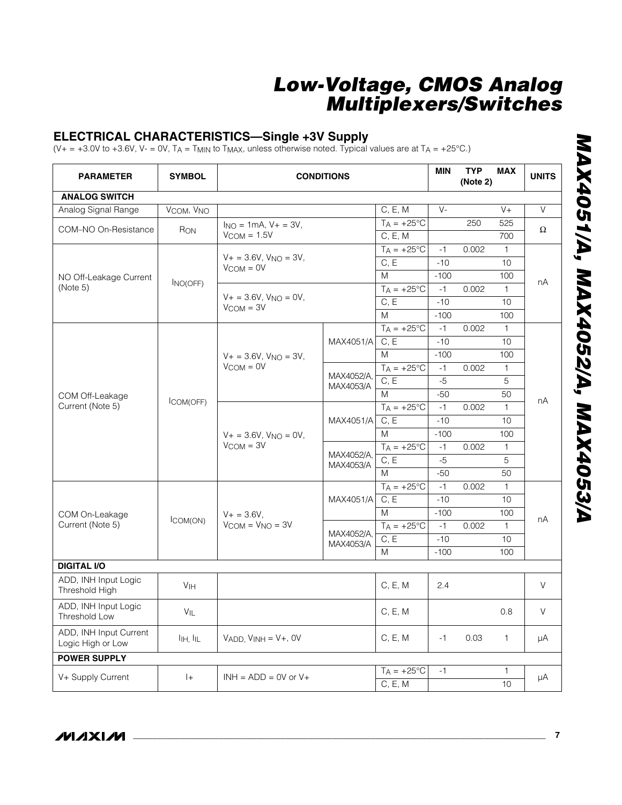#### **ELECTRICAL CHARACTERISTICS—Single +3V Supply**

 $(V_+ = +3.0V$  to +3.6V, V- = 0V, TA = TMIN to TMAX, unless otherwise noted. Typical values are at TA = +25°C.)

| <b>PARAMETER</b>                            | <b>SYMBOL</b>                      | <b>CONDITIONS</b>                                |                                |                        | <b>MIN</b> | <b>TYP</b><br>(Note 2) | <b>MAX</b>      | <b>UNITS</b> |
|---------------------------------------------|------------------------------------|--------------------------------------------------|--------------------------------|------------------------|------------|------------------------|-----------------|--------------|
| <b>ANALOG SWITCH</b>                        |                                    |                                                  |                                |                        |            |                        |                 |              |
| Analog Signal Range                         | V <sub>COM</sub> , V <sub>NO</sub> |                                                  |                                | C, E, M                | $V -$      |                        | $V +$           | $\vee$       |
| COM-NO On-Resistance                        | RON                                | $I_{NO} = 1mA$ , $V_{+} = 3V$ ,                  |                                | $T_A = +25$ °C         |            | 250                    | 525             | Ω            |
|                                             |                                    | $V_{COM} = 1.5V$                                 |                                | C, E, M                |            |                        | 700             |              |
|                                             | INO(OFF)                           |                                                  |                                | $T_A = +25$ °C<br>C, E | $-1$       | 0.002                  | $\mathbf{1}$    |              |
|                                             |                                    | $V_{COM} = 0V$                                   | $V + = 3.6V$ , $V_{NO} = 3V$ , |                        | $-10$      |                        | 10 <sup>1</sup> |              |
| NO Off-Leakage Current                      |                                    |                                                  |                                | M                      | $-100$     |                        | 100             | nA           |
| (Note 5)                                    |                                    |                                                  |                                | $T_A = +25$ °C         | $-1$       | 0.002                  | $\mathbf{1}$    |              |
|                                             |                                    | $V_+ = 3.6V$ , $V_{NO} = 0V$ ,<br>$V_{COM} = 3V$ |                                | C, E                   | $-10$      |                        | 10 <sup>1</sup> |              |
|                                             |                                    |                                                  |                                | M                      | $-100$     |                        | 100             |              |
|                                             |                                    |                                                  |                                | $T_A = +25$ °C         | $-1$       | 0.002                  | $\mathbf{1}$    |              |
|                                             |                                    |                                                  | MAX4051/A                      | C, E                   | $-10$      |                        | 10              |              |
|                                             |                                    | $V_+ = 3.6V$ , $V_{NO} = 3V$ ,<br>$V_{COM} = 0V$ |                                | M                      | $-100$     |                        | 100             |              |
|                                             |                                    |                                                  |                                | $T_A = +25$ °C         | $-1$       | 0.002                  | 1               | nA           |
|                                             |                                    |                                                  | MAX4052/A,<br>MAX4053/A        | $\overline{C, E}$      | $-5$       |                        | 5               |              |
| COM Off-Leakage                             |                                    |                                                  |                                | M                      | $-50$      |                        | 50              |              |
| Current (Note 5)                            | ICOM(OFF)                          |                                                  |                                | $T_A = +25$ °C         | $-1$       | 0.002                  | $\mathbf{1}$    |              |
|                                             |                                    |                                                  | MAX4051/A                      | C, E                   | $-10$      |                        | 10 <sup>1</sup> |              |
|                                             |                                    | $V + = 3.6V$ , $V_{NO} = 0V$ ,                   |                                | M                      | $-100$     |                        | 100             |              |
|                                             |                                    | $V_{COM} = 3V$                                   | MAX4052/A,                     | $TA = +25^{\circ}C$    | $-1$       | 0.002                  | $\mathbf{1}$    |              |
|                                             |                                    |                                                  | MAX4053/A                      | C, E                   | $-5$       |                        | 5               |              |
|                                             |                                    |                                                  |                                | M                      | $-50$      |                        | 50              |              |
|                                             |                                    |                                                  | MAX4051/A                      | $T_A = +25^{\circ}C$   | $-1$       | 0.002                  | $\mathbf{1}$    |              |
|                                             |                                    |                                                  |                                | C, E                   | $-10$      |                        | 10 <sup>°</sup> |              |
| COM On-Leakage                              | ICOM(ON)                           | $V + = 3.6V$ ,                                   |                                | M                      | $-100$     |                        | 100             | nA           |
| Current (Note 5)                            |                                    | $V_{COM} = V_{NO} = 3V$                          | MAX4052/A.                     | $T_A = +25$ °C         | $-1$       | 0.002                  | $\mathbf{1}$    |              |
|                                             |                                    |                                                  | MAX4053/A                      | C, E                   | $-10$      |                        | 10 <sup>1</sup> |              |
|                                             |                                    |                                                  |                                | M                      | $-100$     |                        | 100             |              |
| <b>DIGITAL I/O</b>                          |                                    |                                                  |                                |                        |            |                        |                 |              |
| ADD, INH Input Logic<br>Threshold High      | <b>V<sub>IH</sub></b>              |                                                  |                                | C, E, M                | 2.4        |                        |                 | V            |
| ADD, INH Input Logic<br>Threshold Low       | VIL                                |                                                  |                                | C, E, M                |            |                        | 0.8             | V            |
| ADD, INH Input Current<br>Logic High or Low | $I_{HH}$ , $I_{IL}$                | $V$ ADD, $V$ INH = $V$ +, OV                     |                                | C, E, M                | $-1$       | 0.03                   | $\mathbf{1}$    | μA           |
| <b>POWER SUPPLY</b>                         |                                    |                                                  |                                |                        |            |                        |                 |              |
|                                             |                                    | $INH = ADD = OV$ or $V +$                        |                                | $T_A = +25^{\circ}C$   | $-1$       |                        | 1               | μA           |
| V+ Supply Current                           | $ +$                               |                                                  |                                | C, E, M                |            |                        | 10              |              |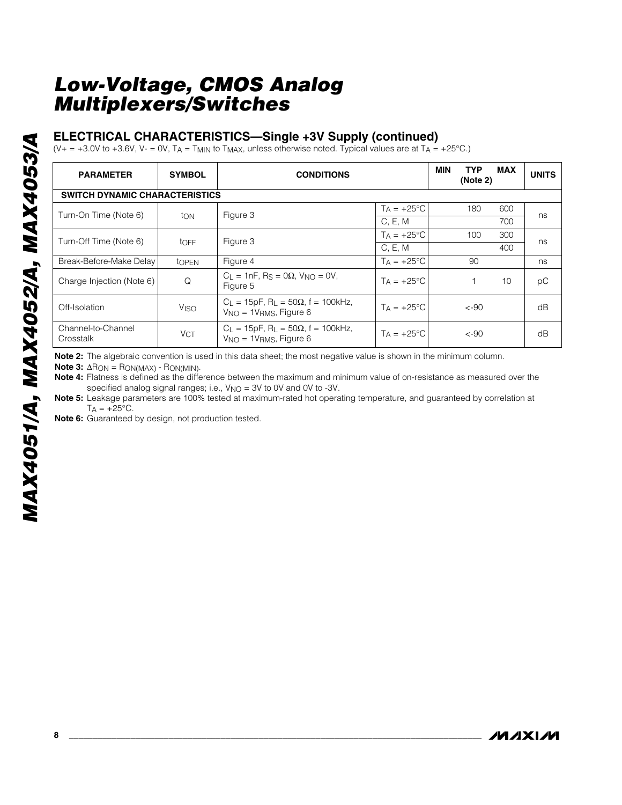#### **ELECTRICAL CHARACTERISTICS—Single +3V Supply (continued)**

 $(V_+ = +3.0V$  to +3.6V, V- = 0V, TA = TMIN to TMAX, unless otherwise noted. Typical values are at TA = +25°C.)

| <b>PARAMETER</b>                      | <b>SYMBOL</b>          | <b>CONDITIONS</b>                                                                             | <b>MIN</b><br><b>TYP</b><br>(Note 2) | <b>MAX</b> | <b>UNITS</b> |    |  |  |  |  |
|---------------------------------------|------------------------|-----------------------------------------------------------------------------------------------|--------------------------------------|------------|--------------|----|--|--|--|--|
| <b>SWITCH DYNAMIC CHARACTERISTICS</b> |                        |                                                                                               |                                      |            |              |    |  |  |  |  |
| Turn-On Time (Note 6)                 |                        | Figure 3                                                                                      | $T_A = +25$ °C                       | 180        | 600          |    |  |  |  |  |
|                                       | ton                    |                                                                                               | C, E, M                              |            | 700          | ns |  |  |  |  |
| Turn-Off Time (Note 6)                |                        | Figure 3                                                                                      | $Ta = +25^{\circ}C$                  | 100        | 300          | ns |  |  |  |  |
|                                       | toff                   |                                                                                               | C, E, M                              |            | 400          |    |  |  |  |  |
| Break-Before-Make Delay               | tOPEN                  | Figure 4                                                                                      | $T_A = +25$ °C                       | 90         |              | ns |  |  |  |  |
| Charge Injection (Note 6)             | Q                      | $C_1 = 1nF$ , Rs = 0 $\Omega$ , V <sub>NO</sub> = 0V,<br>Figure 5                             | $Ta = +25^{\circ}C$                  |            | 10           | рC |  |  |  |  |
| Off-Isolation                         | <b>V<sub>ISO</sub></b> | $C_L = 15pF$ , R <sub>L</sub> = 50 $\Omega$ , f = 100kHz,<br>$V_{NO} = 1V_{RMS}$ , Figure 6   | $T_A = +25$ °C                       | $< -90$    |              | dB |  |  |  |  |
| Channel-to-Channel<br>Crosstalk       | V <sub>CT</sub>        | $C_{L} = 15pF$ , R <sub>L</sub> = 50 $\Omega$ , f = 100kHz,<br>$V_{NO} = 1V_{RMS}$ , Figure 6 | $Ta = +25^{\circ}C$                  | $< -90$    |              | dB |  |  |  |  |

**Note 2:** The algebraic convention is used in this data sheet; the most negative value is shown in the minimum column.

**Note 3:**  $\Delta$ R<sub>ON</sub> = R<sub>ON(MAX)</sub> - R<sub>ON(MIN)</sub>.

**Note 4:** Flatness is defined as the difference between the maximum and minimum value of on-resistance as measured over the specified analog signal ranges; i.e.,  $V_{NO} = 3V$  to 0V and 0V to -3V.

**Note 5:** Leakage parameters are 100% tested at maximum-rated hot operating temperature, and guaranteed by correlation at  $T_A = +25$ °C.

**Note 6:** Guaranteed by design, not production tested.

/VI /I X I /VI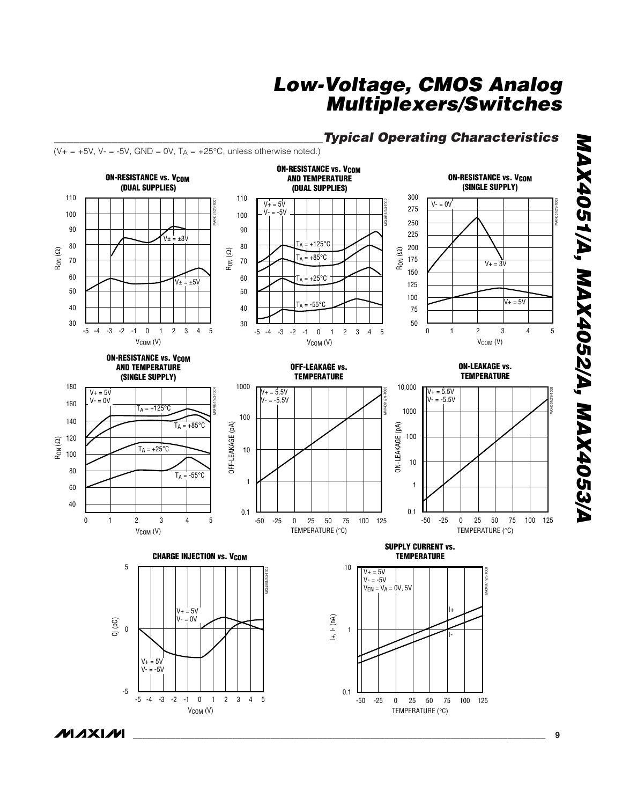### *\_\_\_\_\_\_\_\_\_\_\_\_\_\_\_\_\_\_\_\_\_\_\_\_\_\_\_\_\_\_\_\_\_\_\_\_\_\_\_\_\_\_Typical Operating Characteristics*



0.1

TEMPERATURE (°C)

-50 -25 0 25 50 75 100 125

MAX4051/A, MAX4052/A, MAX4053/A *MAX4051/A, MAX4052/A, MAX4053/A*

MAX4051/2/3-TOC3

4

MAX4051/2/3-TOC6

-5

 $-5$   $-4$   $-3$   $-2$   $-1$  0 1

V<sub>COM</sub> (V)

-4 -3 -2 -1 0 1 2 3 4 5

 $0 \t1 \t2 \t3$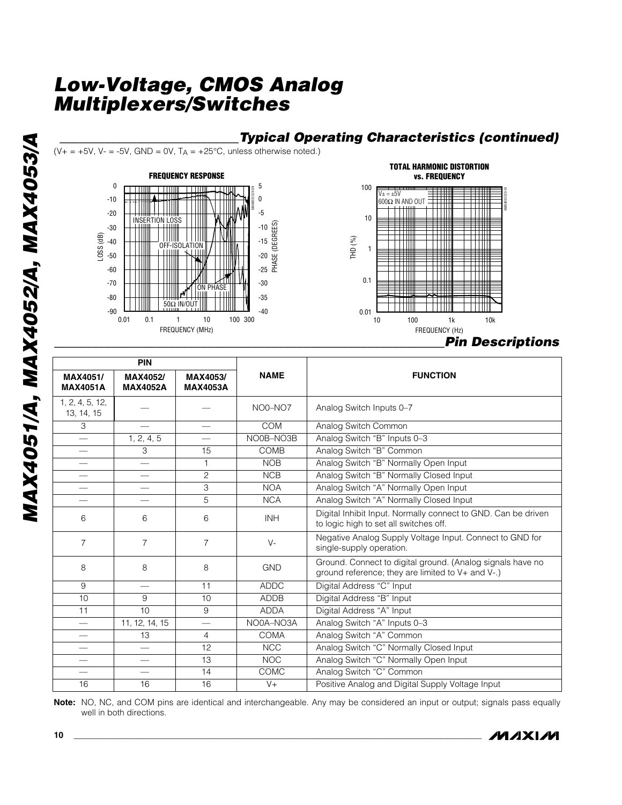





| <b>PIN</b>                    |                             |                             |             |                                                                                                                 |
|-------------------------------|-----------------------------|-----------------------------|-------------|-----------------------------------------------------------------------------------------------------------------|
| MAX4051/<br><b>MAX4051A</b>   | MAX4052/<br><b>MAX4052A</b> | MAX4053/<br><b>MAX4053A</b> | <b>NAME</b> | <b>FUNCTION</b>                                                                                                 |
| 1, 2, 4, 5, 12,<br>13, 14, 15 |                             |                             | NO0-NO7     | Analog Switch Inputs 0-7                                                                                        |
| 3                             |                             |                             | <b>COM</b>  | Analog Switch Common                                                                                            |
| $\qquad \qquad$               | 1, 2, 4, 5                  |                             | NO0B-NO3B   | Analog Switch "B" Inputs 0-3                                                                                    |
|                               | 3                           | 15                          | COMB        | Analog Switch "B" Common                                                                                        |
|                               | $\overline{\phantom{0}}$    | $\mathbf{1}$                | <b>NOB</b>  | Analog Switch "B" Normally Open Input                                                                           |
|                               | $\qquad \qquad$             | $\overline{c}$              | <b>NCB</b>  | Analog Switch "B" Normally Closed Input                                                                         |
|                               |                             | 3                           | <b>NOA</b>  | Analog Switch "A" Normally Open Input                                                                           |
|                               | $\overline{\phantom{0}}$    | 5                           | <b>NCA</b>  | Analog Switch "A" Normally Closed Input                                                                         |
| 6                             | 6                           | 6                           | <b>INH</b>  | Digital Inhibit Input. Normally connect to GND. Can be driven<br>to logic high to set all switches off.         |
| $\overline{7}$                | $\overline{7}$              | $\overline{7}$              | $V -$       | Negative Analog Supply Voltage Input. Connect to GND for<br>single-supply operation.                            |
| 8                             | 8                           | 8                           | <b>GND</b>  | Ground. Connect to digital ground. (Analog signals have no<br>ground reference; they are limited to V+ and V-.) |
| 9                             |                             | 11                          | <b>ADDC</b> | Digital Address "C" Input                                                                                       |
| 10                            | 9                           | 10                          | <b>ADDB</b> | Digital Address "B" Input                                                                                       |
| 11                            | 10                          | 9                           | <b>ADDA</b> | Digital Address "A" Input                                                                                       |
| $\overline{\phantom{0}}$      | 11, 12, 14, 15              |                             | NO0A-NO3A   | Analog Switch "A" Inputs 0-3                                                                                    |
|                               | 13                          | $\overline{4}$              | <b>COMA</b> | Analog Switch "A" Common                                                                                        |
| $\overline{\phantom{0}}$      | $\overline{\phantom{0}}$    | 12                          | <b>NCC</b>  | Analog Switch "C" Normally Closed Input                                                                         |
| $\hspace{0.05cm}$             | $\overline{\phantom{0}}$    | 13                          | <b>NOC</b>  | Analog Switch "C" Normally Open Input                                                                           |
|                               |                             | 14                          | <b>COMC</b> | Analog Switch "C" Common                                                                                        |
| 16                            | 16                          | 16                          | $V +$       | Positive Analog and Digital Supply Voltage Input                                                                |

**Note:** NO, NC, and COM pins are identical and interchangeable. Any may be considered an input or output; signals pass equally well in both directions.

*IVIXIVI*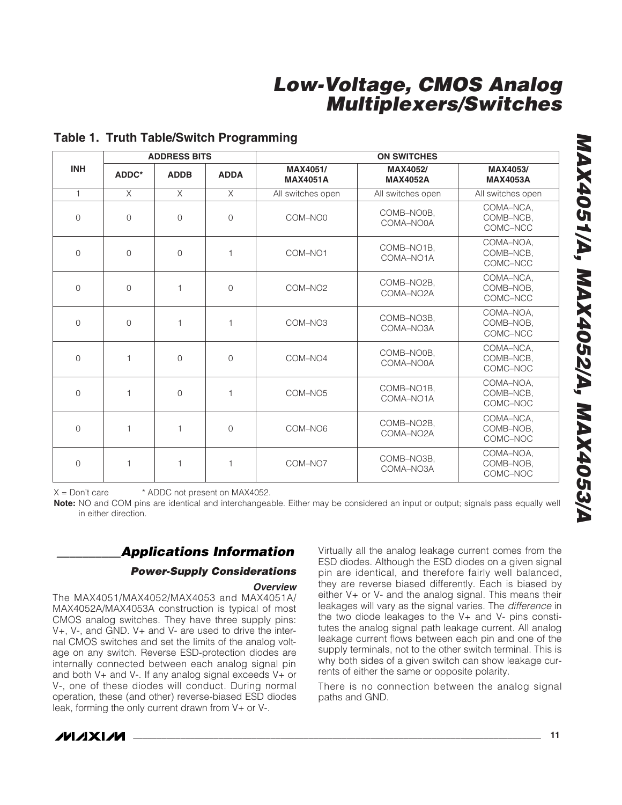|              |              | <b>ADDRESS BITS</b> |                | <b>ON SWITCHES</b>          |                                      |                                    |  |  |
|--------------|--------------|---------------------|----------------|-----------------------------|--------------------------------------|------------------------------------|--|--|
| <b>INH</b>   | ADDC*        | <b>ADDB</b>         | <b>ADDA</b>    | MAX4051/<br><b>MAX4051A</b> | <b>MAX4052/</b><br><b>MAX4052A</b>   |                                    |  |  |
| $\mathbf{1}$ | $\times$     | $\times$            | $\times$       | All switches open           | All switches open                    | All switches open                  |  |  |
| $\Omega$     | $\Omega$     | $\Omega$            | $\Omega$       | COM-NO0                     | COMB-NO0B,<br>COMA-NO0A              | COMA-NCA,<br>COMB-NCB,<br>COMC-NCC |  |  |
| $\Omega$     | $\Omega$     | $\bigcap$           | $\mathbf{1}$   | COM-NO1                     | COMB-NO1B,<br>COMA-NO <sub>1</sub> A | COMA-NOA,<br>COMB-NCB,<br>COMC-NCC |  |  |
| $\Omega$     | $\mathbf 0$  | $\mathbf{1}$        | $\Omega$       | COM-NO <sub>2</sub>         | COMB-NO2B,<br>COMA-NO2A              | COMA-NCA,<br>COMB-NOB,<br>COMC-NCC |  |  |
| $\Omega$     | $\mathbf 0$  | 1                   | $\mathbf{1}$   | COM-NO <sub>3</sub>         | COMB-NO3B,<br>COMA-NO3A              | COMA-NOA,<br>COMB-NOB,<br>COMC-NCC |  |  |
| $\Omega$     | 1            | $\Omega$            | $\Omega$       | COM-NO4                     | COMB-NO0B,<br>COMA-NO0A              | COMA-NCA.<br>COMB-NCB.<br>COMC-NOC |  |  |
| $\Omega$     | $\mathbf{1}$ | $\Omega$            | $\mathbf{1}$   | COM-NO <sub>5</sub>         | COMB-NO1B.<br>COMA-NO <sub>1</sub> A | COMA-NOA.<br>COMB-NCB.<br>COMC-NOC |  |  |
| $\Omega$     | 1            | 1                   | $\overline{0}$ | COM-NO6                     | COMB-NO2B,<br>COMA-NO2A              | COMA-NCA.<br>COMB-NOB.<br>COMC-NOC |  |  |
| $\Omega$     | 1            | 1                   | $\mathbf{1}$   | COM-NO7                     | COMB-NO3B,<br>COMA-NO3A              | COMA-NOA,<br>COMB-NOB.<br>COMC-NOC |  |  |

#### **Table 1. Truth Table/Switch Programming**

 $X = Don't care$  \* ADDC not present on MAX4052.

**Note:** NO and COM pins are identical and interchangeable. Either may be considered an input or output; signals pass equally well in either direction.

## *\_\_\_\_\_\_\_\_\_\_Applications Information*

#### *Power-Supply Considerations*

#### *Overview*

The MAX4051/MAX4052/MAX4053 and MAX4051A/ MAX4052A/MAX4053A construction is typical of most CMOS analog switches. They have three supply pins: V+, V-, and GND. V+ and V- are used to drive the internal CMOS switches and set the limits of the analog voltage on any switch. Reverse ESD-protection diodes are internally connected between each analog signal pin and both  $V<sub>+</sub>$  and  $V<sub>-</sub>$ . If any analog signal exceeds  $V<sub>+</sub>$  or V-, one of these diodes will conduct. During normal operation, these (and other) reverse-biased ESD diodes leak, forming the only current drawn from V+ or V-.

Virtually all the analog leakage current comes from the ESD diodes. Although the ESD diodes on a given signal pin are identical, and therefore fairly well balanced, they are reverse biased differently. Each is biased by either V+ or V- and the analog signal. This means their leakages will vary as the signal varies. The *difference* in the two diode leakages to the V+ and V- pins constitutes the analog signal path leakage current. All analog leakage current flows between each pin and one of the supply terminals, not to the other switch terminal. This is why both sides of a given switch can show leakage currents of either the same or opposite polarity.

There is no connection between the analog signal paths and GND.

# *MAX4051/A, MAX4052/A, MAX4053/A* MAX4051/A, MAX4052/A, MAX4053/A

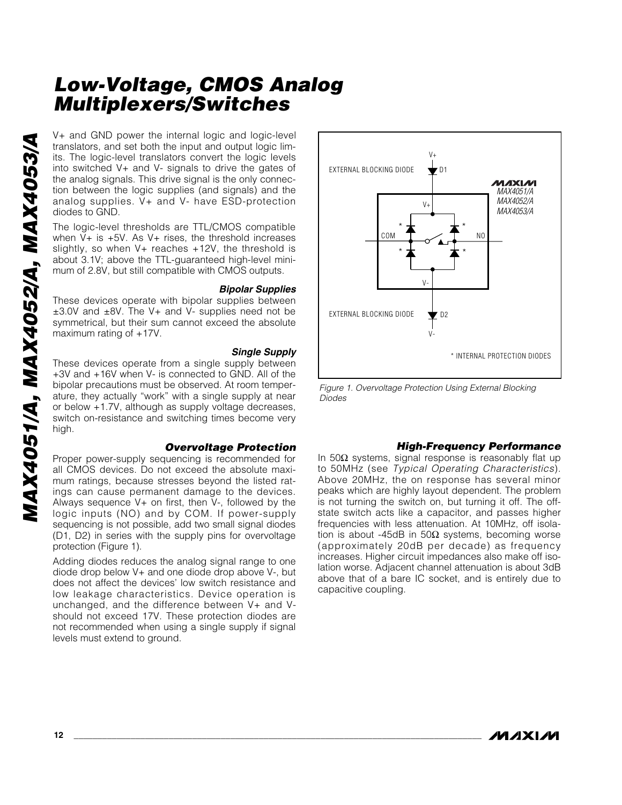V+ and GND power the internal logic and logic-level<br>translators, and set both the input and output logic livel<br>the sinto switched V+ and V- signals to drive the gate soft<br>the analog signals. This drive signal is the only c translators, and set both the input and output logic limits. The logic-level translators convert the logic levels into switched V+ and V- signals to drive the gates of the analog signals. This drive signal is the only connection between the logic supplies (and signals) and the analog supplies. V+ and V- have ESD-protection diodes to GND.

The logic-level thresholds are TTL/CMOS compatible when  $V+$  is  $+5V$ . As  $V+$  rises, the threshold increases slightly, so when  $V+$  reaches  $+12V$ , the threshold is about 3.1V; above the TTL-guaranteed high-level minimum of 2.8V, but still compatible with CMOS outputs.

#### *Bipolar Supplies*

These devices operate with bipolar supplies between ±3.0V and ±8V. The V+ and V- supplies need not be symmetrical, but their sum cannot exceed the absolute maximum rating of +17V.

#### *Single Supply*

These devices operate from a single supply between +3V and +16V when V- is connected to GND. All of the bipolar precautions must be observed. At room temperature, they actually "work" with a single supply at near or below +1.7V, although as supply voltage decreases, switch on-resistance and switching times become very high.

#### *Overvoltage Protection*

Proper power-supply sequencing is recommended for all CMOS devices. Do not exceed the absolute maximum ratings, because stresses beyond the listed ratings can cause permanent damage to the devices. Always sequence V+ on first, then V-, followed by the logic inputs (NO) and by COM. If power-supply sequencing is not possible, add two small signal diodes (D1, D2) in series with the supply pins for overvoltage protection (Figure 1).

Adding diodes reduces the analog signal range to one diode drop below V+ and one diode drop above V-, but does not affect the devices' low switch resistance and low leakage characteristics. Device operation is unchanged, and the difference between V+ and Vshould not exceed 17V. These protection diodes are not recommended when using a single supply if signal levels must extend to ground.



*Figure 1. Overvoltage Protection Using External Blocking Diodes*

#### *High-Frequency Performance*

In 50Ω systems, signal response is reasonably flat up to 50MHz (see *Typical Operating Characteristics*). Above 20MHz, the on response has several minor peaks which are highly layout dependent. The problem is not turning the switch on, but turning it off. The offstate switch acts like a capacitor, and passes higher frequencies with less attenuation. At 10MHz, off isolation is about -45dB in 50Ω systems, becoming worse (approximately 20dB per decade) as frequency increases. Higher circuit impedances also make off isolation worse. Adjacent channel attenuation is about 3dB above that of a bare IC socket, and is entirely due to capacitive coupling.

*IVI AXI IVI*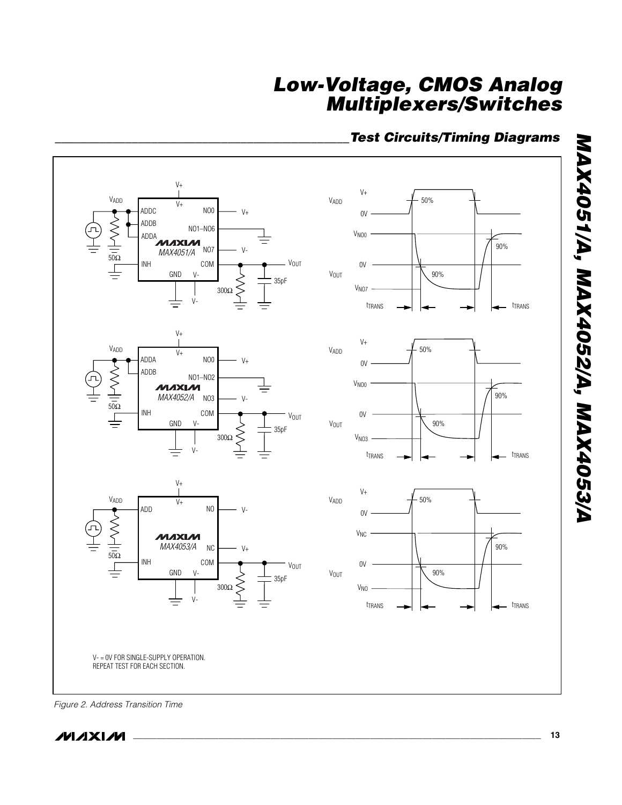## *\_\_\_\_\_\_\_\_\_\_\_\_\_\_\_\_\_\_\_\_\_\_\_\_\_\_\_\_\_\_\_\_\_\_\_\_\_\_\_\_\_\_\_\_\_\_Test Circuits/Timing Diagrams*



*Figure 2. Address Transition Time*

*MAX4051/A, MAX4052/A, MAX4053/A*

MAX4051/A, MAX4052/A, MAX4053/A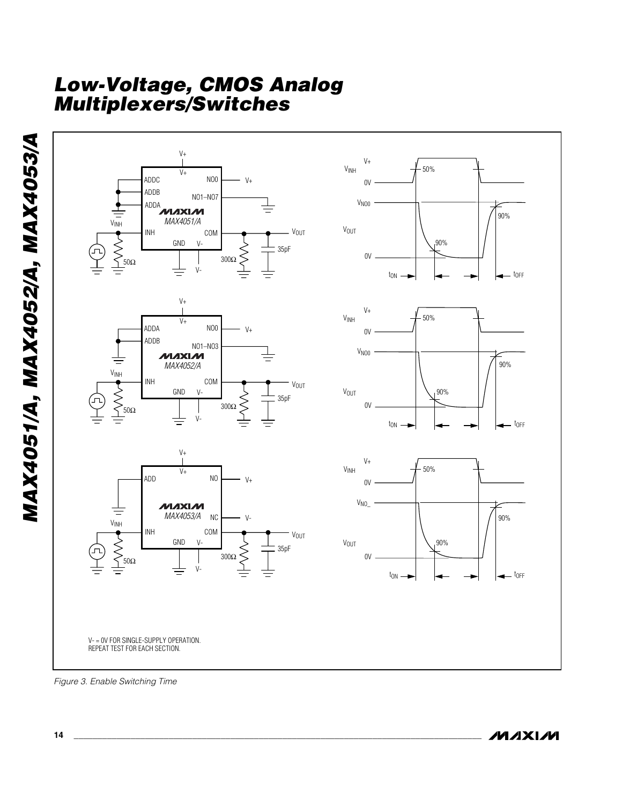

*Figure 3. Enable Switching Time*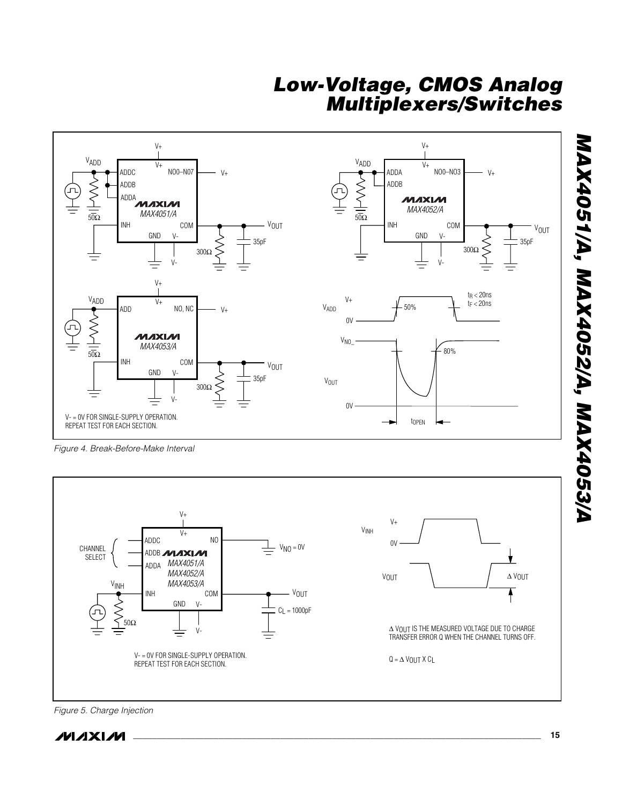

*Figure 4. Break-Before-Make Interval*



*Figure 5. Charge Injection*

**MAXIM**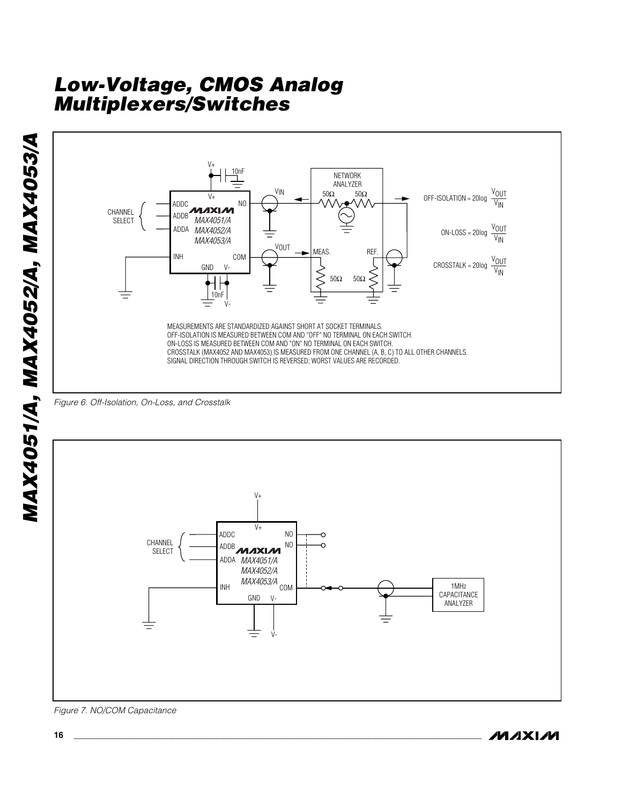







/VI/IXI/VI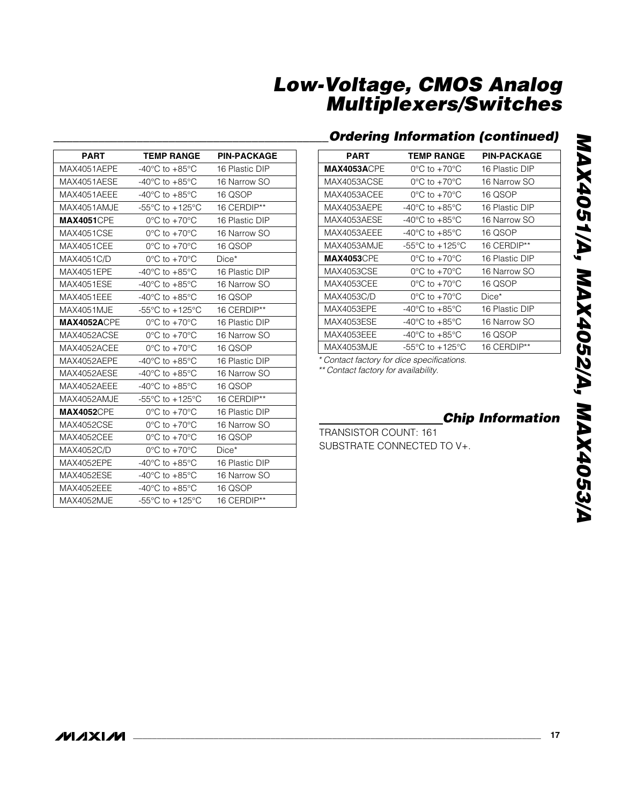## *\_\_\_\_\_\_\_\_\_\_\_\_\_\_\_\_\_\_\_\_\_\_\_\_\_\_\_\_\_\_\_\_\_\_\_\_\_\_\_\_\_\_\_Ordering Information (continued)*

| PART               | <b>TEMP RANGE</b>                    | <b>PIN-PACKAGE</b> |
|--------------------|--------------------------------------|--------------------|
| <b>MAX4053ACPE</b> | $0^{\circ}$ C to $+70^{\circ}$ C     | 16 Plastic DIP     |
| MAX4053ACSE        | $0^{\circ}$ C to +70 $^{\circ}$ C    | 16 Narrow SO       |
| MAX4053ACEE        | $0^{\circ}$ C to $+70^{\circ}$ C     | 16 QSOP            |
| MAX4053AEPE        | $-40^{\circ}$ C to $+85^{\circ}$ C   | 16 Plastic DIP     |
| MAX4053AESE        | $-40^{\circ}$ C to $+85^{\circ}$ C   | 16 Narrow SO       |
| MAX4053AEEE        | $-40^{\circ}$ C to $+85^{\circ}$ C   | 16 QSOP            |
| MAX4053AMJE        | $-55^{\circ}$ C to $+125^{\circ}$ C  | 16 CERDIP**        |
| <b>MAX4053</b> CPE | $0^{\circ}$ C to $+70^{\circ}$ C     | 16 Plastic DIP     |
| MAX4053CSE         | $0^{\circ}$ C to $+70^{\circ}$ C     | 16 Narrow SO       |
| MAX4053CEE         | $0^{\circ}$ C to +70 $^{\circ}$ C    | 16 QSOP            |
| MAX4053C/D         | $0^{\circ}$ C to $+70^{\circ}$ C     | Dice*              |
| MAX4053EPE         | -40 $^{\circ}$ C to +85 $^{\circ}$ C | 16 Plastic DIP     |
| <b>MAX4053ESE</b>  | -40°C to $+85^{\circ}$ C             | 16 Narrow SO       |
| MAX4053EEE         | -40°C to +85°C                       | 16 QSOP            |
| MAX4053MJE         | $-55^{\circ}$ C to $+125^{\circ}$ C  | 16 CERDIP**        |

*\* Contact factory for dice specifications.*

*\*\* Contact factory for availability.*

 $\overline{\phantom{a}}$ 

*Chip Information*

TRANSISTOR COUNT: 161 SUBSTRATE CONNECTED TO V+.

| <b>PART</b>        | <b>TEMP RANGE</b>                                     | <b>PIN-PACKAGE</b> |
|--------------------|-------------------------------------------------------|--------------------|
| MAX4051AEPE        | -40 $^{\circ}$ C to +85 $^{\circ}$ C                  | 16 Plastic DIP     |
| MAX4051AESE        | -40 $^{\circ}$ C to +85 $^{\circ}$ C                  | 16 Narrow SO       |
| MAX4051AEEE        | -40 $^{\circ}$ C to +85 $^{\circ}$ C                  | 16 QSOP            |
| MAX4051AMJE        | -55 $\mathrm{^{\circ}C}$ to +125 $\mathrm{^{\circ}C}$ | 16 CERDIP**        |
| <b>MAX4051CPE</b>  | $0^{\circ}$ C to $+70^{\circ}$ C                      | 16 Plastic DIP     |
| <b>MAX4051CSE</b>  | $0^{\circ}$ C to +70 $^{\circ}$ C                     | 16 Narrow SO       |
| <b>MAX4051CEE</b>  | $0^{\circ}$ C to $+70^{\circ}$ C                      | 16 QSOP            |
| MAX4051C/D         | $0^{\circ}$ C to $+70^{\circ}$ C                      | $Dice*$            |
| MAX4051EPE         | -40 $^{\circ}$ C to +85 $^{\circ}$ C                  | 16 Plastic DIP     |
| <b>MAX4051ESE</b>  | -40 $^{\circ}$ C to +85 $^{\circ}$ C                  | 16 Narrow SO       |
| <b>MAX4051EEE</b>  | -40 $^{\circ}$ C to +85 $^{\circ}$ C                  | 16 QSOP            |
| MAX4051MJE         | -55 $\mathrm{^{\circ}C}$ to +125 $\mathrm{^{\circ}C}$ | 16 CERDIP**        |
| <b>MAX4052ACPE</b> | $0^{\circ}$ C to +70 $^{\circ}$ C                     | 16 Plastic DIP     |
| MAX4052ACSE        | $0^{\circ}$ C to +70 $^{\circ}$ C                     | 16 Narrow SO       |
| MAX4052ACEE        | $0^{\circ}$ C to $+70^{\circ}$ C                      | 16 QSOP            |
| MAX4052AEPE        | -40 $^{\circ}$ C to +85 $^{\circ}$ C                  | 16 Plastic DIP     |
| MAX4052AESE        | -40 $^{\circ}$ C to +85 $^{\circ}$ C                  | 16 Narrow SO       |
| MAX4052AEEE        | -40 $^{\circ}$ C to +85 $^{\circ}$ C                  | 16 QSOP            |
| MAX4052AMJE        | -55 $\mathrm{^{\circ}C}$ to +125 $\mathrm{^{\circ}C}$ | 16 CERDIP**        |
| <b>MAX4052CPE</b>  | $0^{\circ}$ C to +70 $^{\circ}$ C                     | 16 Plastic DIP     |
| <b>MAX4052CSE</b>  | $0^{\circ}$ C to +70 $^{\circ}$ C                     | 16 Narrow SO       |
| <b>MAX4052CEE</b>  | $0^{\circ}$ C to $+70^{\circ}$ C                      | 16 QSOP            |
| MAX4052C/D         | $0^{\circ}$ C to $+70^{\circ}$ C                      | $Dice*$            |
| <b>MAX4052EPE</b>  | -40 $^{\circ}$ C to +85 $^{\circ}$ C                  | 16 Plastic DIP     |
| <b>MAX4052ESE</b>  | -40 $^{\circ}$ C to +85 $^{\circ}$ C                  | 16 Narrow SO       |
| <b>MAX4052EEE</b>  | -40 $^{\circ}$ C to +85 $^{\circ}$ C                  | 16 QSOP            |
| MAX4052MJE         | -55 $\mathrm{^{\circ}C}$ to +125 $\mathrm{^{\circ}C}$ | 16 CERDIP**        |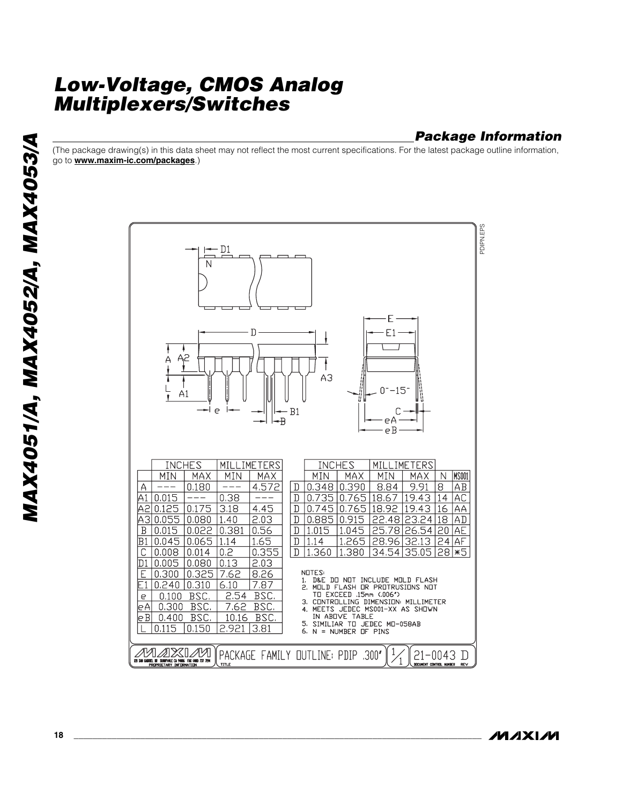#### *Package Information*

(The package drawing(s) in this data sheet may not reflect the most current specifications. For the latest package outline information, go to **www.maxim-ic.com/packages**.)



*IVI AXI IVI*